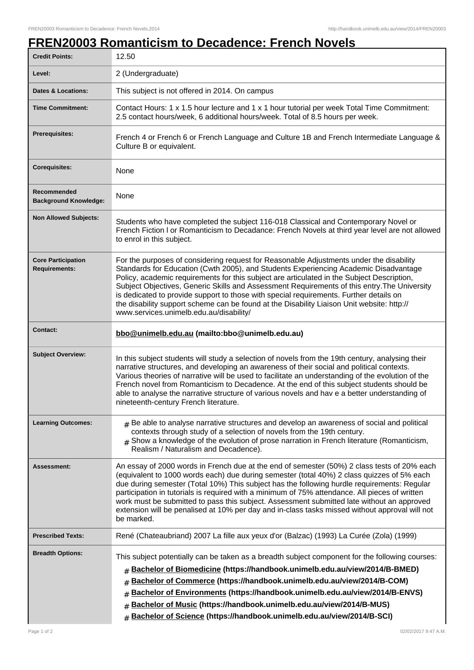## **FREN20003 Romanticism to Decadence: French Novels**

| <b>Credit Points:</b>                             | 12.50                                                                                                                                                                                                                                                                                                                                                                                                                                                                                                                                                                                                            |
|---------------------------------------------------|------------------------------------------------------------------------------------------------------------------------------------------------------------------------------------------------------------------------------------------------------------------------------------------------------------------------------------------------------------------------------------------------------------------------------------------------------------------------------------------------------------------------------------------------------------------------------------------------------------------|
| Level:                                            | 2 (Undergraduate)                                                                                                                                                                                                                                                                                                                                                                                                                                                                                                                                                                                                |
| <b>Dates &amp; Locations:</b>                     | This subject is not offered in 2014. On campus                                                                                                                                                                                                                                                                                                                                                                                                                                                                                                                                                                   |
| <b>Time Commitment:</b>                           | Contact Hours: 1 x 1.5 hour lecture and 1 x 1 hour tutorial per week Total Time Commitment:<br>2.5 contact hours/week, 6 additional hours/week. Total of 8.5 hours per week.                                                                                                                                                                                                                                                                                                                                                                                                                                     |
| <b>Prerequisites:</b>                             | French 4 or French 6 or French Language and Culture 1B and French Intermediate Language &<br>Culture B or equivalent.                                                                                                                                                                                                                                                                                                                                                                                                                                                                                            |
| <b>Corequisites:</b>                              | None                                                                                                                                                                                                                                                                                                                                                                                                                                                                                                                                                                                                             |
| Recommended<br><b>Background Knowledge:</b>       | None                                                                                                                                                                                                                                                                                                                                                                                                                                                                                                                                                                                                             |
| <b>Non Allowed Subjects:</b>                      | Students who have completed the subject 116-018 Classical and Contemporary Novel or<br>French Fiction I or Romanticism to Decadance: French Novels at third year level are not allowed<br>to enrol in this subject.                                                                                                                                                                                                                                                                                                                                                                                              |
| <b>Core Participation</b><br><b>Requirements:</b> | For the purposes of considering request for Reasonable Adjustments under the disability<br>Standards for Education (Cwth 2005), and Students Experiencing Academic Disadvantage<br>Policy, academic requirements for this subject are articulated in the Subject Description,<br>Subject Objectives, Generic Skills and Assessment Requirements of this entry. The University<br>is dedicated to provide support to those with special requirements. Further details on<br>the disability support scheme can be found at the Disability Liaison Unit website: http://<br>www.services.unimelb.edu.au/disability/ |
| <b>Contact:</b>                                   | bbo@unimelb.edu.au (mailto:bbo@unimelb.edu.au)                                                                                                                                                                                                                                                                                                                                                                                                                                                                                                                                                                   |
| <b>Subject Overview:</b>                          | In this subject students will study a selection of novels from the 19th century, analysing their<br>narrative structures, and developing an awareness of their social and political contexts.<br>Various theories of narrative will be used to facilitate an understanding of the evolution of the<br>French novel from Romanticism to Decadence. At the end of this subject students should be<br>able to analyse the narrative structure of various novels and hav e a better understanding of<br>nineteenth-century French literature.                                                                        |
| <b>Learning Outcomes:</b>                         | $#$ Be able to analyse narrative structures and develop an awareness of social and political<br>contexts through study of a selection of novels from the 19th century.<br>$_{\text{\#}}$ Show a knowledge of the evolution of prose narration in French literature (Romanticism,<br>Realism / Naturalism and Decadence).                                                                                                                                                                                                                                                                                         |
| Assessment:                                       | An essay of 2000 words in French due at the end of semester (50%) 2 class tests of 20% each<br>(equivalent to 1000 words each) due during semester (total 40%) 2 class quizzes of 5% each<br>due during semester (Total 10%) This subject has the following hurdle requirements: Regular<br>participation in tutorials is required with a minimum of 75% attendance. All pieces of written<br>work must be submitted to pass this subject. Assessment submitted late without an approved<br>extension will be penalised at 10% per day and in-class tasks missed without approval will not<br>be marked.         |
| <b>Prescribed Texts:</b>                          | René (Chateaubriand) 2007 La fille aux yeux d'or (Balzac) (1993) La Curée (Zola) (1999)                                                                                                                                                                                                                                                                                                                                                                                                                                                                                                                          |
| <b>Breadth Options:</b>                           | This subject potentially can be taken as a breadth subject component for the following courses:<br><b>Bachelor of Biomedicine (https://handbook.unimelb.edu.au/view/2014/B-BMED)</b><br>#<br>Bachelor of Commerce (https://handbook.unimelb.edu.au/view/2014/B-COM)<br>#<br>Bachelor of Environments (https://handbook.unimelb.edu.au/view/2014/B-ENVS)<br>#<br>Bachelor of Music (https://handbook.unimelb.edu.au/view/2014/B-MUS)<br>#<br>Bachelor of Science (https://handbook.unimelb.edu.au/view/2014/B-SCI)<br>$\pm$                                                                                       |